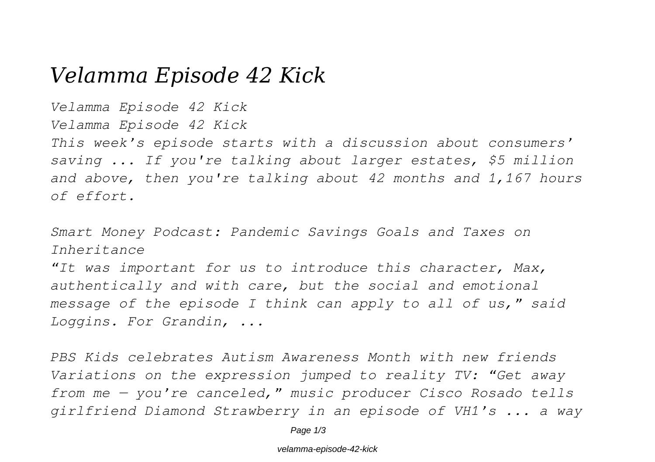# *Velamma Episode 42 Kick*

*Velamma Episode 42 Kick*

*Velamma Episode 42 Kick*

*This week's episode starts with a discussion about consumers' saving ... If you're talking about larger estates, \$5 million and above, then you're talking about 42 months and 1,167 hours of effort.*

*Smart Money Podcast: Pandemic Savings Goals and Taxes on Inheritance*

*"It was important for us to introduce this character, Max, authentically and with care, but the social and emotional message of the episode I think can apply to all of us," said Loggins. For Grandin, ...*

*PBS Kids celebrates Autism Awareness Month with new friends Variations on the expression jumped to reality TV: "Get away from me — you're canceled," music producer Cisco Rosado tells girlfriend Diamond Strawberry in an episode of VH1's ... a way*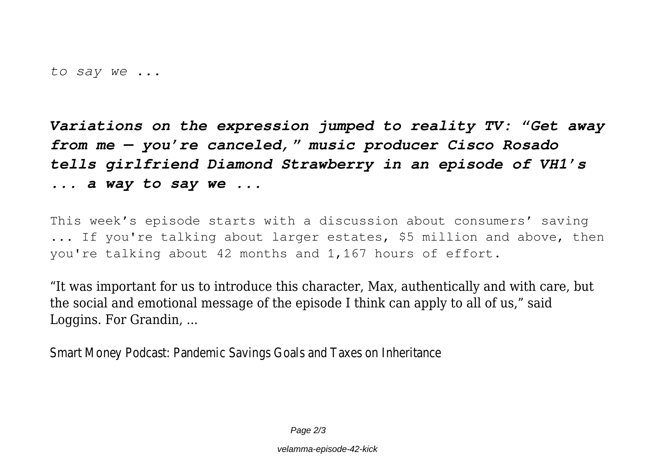*to say we ...*

*Variations on the expression jumped to reality TV: "Get away from me — you're canceled," music producer Cisco Rosado tells girlfriend Diamond Strawberry in an episode of VH1's ... a way to say we ...*

This week's episode starts with a discussion about consumers' saving ... If you're talking about larger estates, \$5 million and above, then you're talking about 42 months and 1,167 hours of effort.

"It was important for us to introduce this character, Max, authentically and with care, but the social and emotional message of the episode I think can apply to all of us," said Loggins. For Grandin, ...

Smart Money Podcast: Pandemic Savings Goals and Taxes on In

Page  $2/3$ 

velamma-episode-42-kick